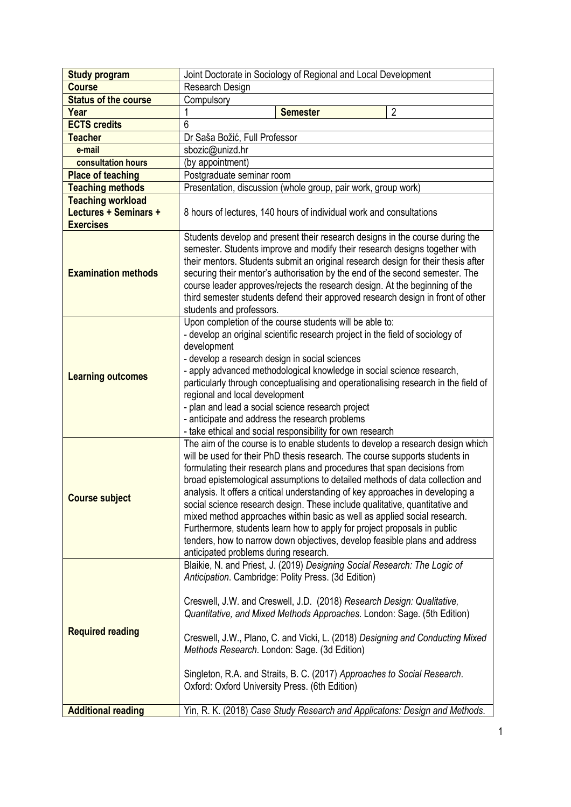| <b>Study program</b>        | Joint Doctorate in Sociology of Regional and Local Development                                                                                                                                                                                                                                                                                                                                                                                                                                                                                                                                                                                                                                                                                                            |
|-----------------------------|---------------------------------------------------------------------------------------------------------------------------------------------------------------------------------------------------------------------------------------------------------------------------------------------------------------------------------------------------------------------------------------------------------------------------------------------------------------------------------------------------------------------------------------------------------------------------------------------------------------------------------------------------------------------------------------------------------------------------------------------------------------------------|
| <b>Course</b>               | Research Design                                                                                                                                                                                                                                                                                                                                                                                                                                                                                                                                                                                                                                                                                                                                                           |
| <b>Status of the course</b> | Compulsory                                                                                                                                                                                                                                                                                                                                                                                                                                                                                                                                                                                                                                                                                                                                                                |
| Year                        | $\overline{2}$<br><b>Semester</b>                                                                                                                                                                                                                                                                                                                                                                                                                                                                                                                                                                                                                                                                                                                                         |
| <b>ECTS</b> credits         | 6                                                                                                                                                                                                                                                                                                                                                                                                                                                                                                                                                                                                                                                                                                                                                                         |
| <b>Teacher</b>              | Dr Saša Božić, Full Professor                                                                                                                                                                                                                                                                                                                                                                                                                                                                                                                                                                                                                                                                                                                                             |
| e-mail                      | sbozic@unizd.hr                                                                                                                                                                                                                                                                                                                                                                                                                                                                                                                                                                                                                                                                                                                                                           |
| consultation hours          | (by appointment)                                                                                                                                                                                                                                                                                                                                                                                                                                                                                                                                                                                                                                                                                                                                                          |
| <b>Place of teaching</b>    | Postgraduate seminar room                                                                                                                                                                                                                                                                                                                                                                                                                                                                                                                                                                                                                                                                                                                                                 |
| <b>Teaching methods</b>     | Presentation, discussion (whole group, pair work, group work)                                                                                                                                                                                                                                                                                                                                                                                                                                                                                                                                                                                                                                                                                                             |
| <b>Teaching workload</b>    |                                                                                                                                                                                                                                                                                                                                                                                                                                                                                                                                                                                                                                                                                                                                                                           |
| Lectures + Seminars +       | 8 hours of lectures, 140 hours of individual work and consultations                                                                                                                                                                                                                                                                                                                                                                                                                                                                                                                                                                                                                                                                                                       |
| <b>Exercises</b>            |                                                                                                                                                                                                                                                                                                                                                                                                                                                                                                                                                                                                                                                                                                                                                                           |
| <b>Examination methods</b>  | Students develop and present their research designs in the course during the<br>semester. Students improve and modify their research designs together with<br>their mentors. Students submit an original research design for their thesis after<br>securing their mentor's authorisation by the end of the second semester. The<br>course leader approves/rejects the research design. At the beginning of the<br>third semester students defend their approved research design in front of other<br>students and professors.                                                                                                                                                                                                                                             |
| <b>Learning outcomes</b>    | Upon completion of the course students will be able to:<br>- develop an original scientific research project in the field of sociology of<br>development<br>- develop a research design in social sciences<br>- apply advanced methodological knowledge in social science research,<br>particularly through conceptualising and operationalising research in the field of<br>regional and local development<br>- plan and lead a social science research project<br>- anticipate and address the research problems<br>- take ethical and social responsibility for own research                                                                                                                                                                                           |
| <b>Course subject</b>       | The aim of the course is to enable students to develop a research design which<br>will be used for their PhD thesis research. The course supports students in<br>formulating their research plans and procedures that span decisions from<br>broad epistemological assumptions to detailed methods of data collection and<br>analysis. It offers a critical understanding of key approaches in developing a<br>social science research design. These include qualitative, quantitative and<br>mixed method approaches within basic as well as applied social research.<br>Furthermore, students learn how to apply for project proposals in public<br>tenders, how to narrow down objectives, develop feasible plans and address<br>anticipated problems during research. |
| <b>Required reading</b>     | Blaikie, N. and Priest, J. (2019) Designing Social Research: The Logic of<br>Anticipation. Cambridge: Polity Press. (3d Edition)<br>Creswell, J.W. and Creswell, J.D. (2018) Research Design: Qualitative,<br>Quantitative, and Mixed Methods Approaches. London: Sage. (5th Edition)<br>Creswell, J.W., Plano, C. and Vicki, L. (2018) Designing and Conducting Mixed<br>Methods Research. London: Sage. (3d Edition)<br>Singleton, R.A. and Straits, B. C. (2017) Approaches to Social Research.<br>Oxford: Oxford University Press. (6th Edition)                                                                                                                                                                                                                      |
| <b>Additional reading</b>   | Yin, R. K. (2018) Case Study Research and Applicatons: Design and Methods.                                                                                                                                                                                                                                                                                                                                                                                                                                                                                                                                                                                                                                                                                                |